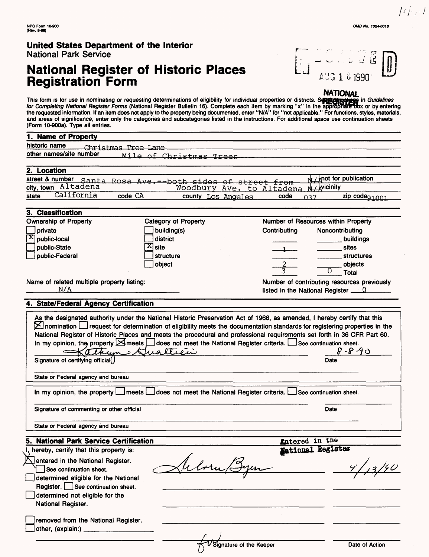# **National Register of Historic Places Registration Form**



#### **NATIONAL**

This form is for use in nominating or requesting determinations of eligibility for individual properties or districts. Sepergroup in Guidelines for Completing National Register Forms (National Register Bulletin 16). Complete each item by marking "x" in the appropriate Dox or by entering the requested information. If an item does not apply to the property being documented, enter "N/A" for "not applicable." For functions, styles, materials, and areas of significance, enter only the categories and subcategories listed in the instructions. For additional space use continuation sheets  $-40.000a$ 

| (FUIIII IU-5004). Type all eiluiles.                                                                                                       |                             |                                          |                                             |
|--------------------------------------------------------------------------------------------------------------------------------------------|-----------------------------|------------------------------------------|---------------------------------------------|
| 1. Name of Property                                                                                                                        |                             |                                          |                                             |
| historic name<br>Christmas Tree Lane                                                                                                       |                             |                                          |                                             |
| other names/site number                                                                                                                    | Mile of Christmas Trees     |                                          |                                             |
|                                                                                                                                            |                             |                                          |                                             |
| 2. Location                                                                                                                                |                             |                                          |                                             |
| street & number Santa Rosa Ave. -- both sides of street from                                                                               |                             |                                          | mot for publication                         |
| city, town Altadena                                                                                                                        | Woodbury Ave. to Altadena   |                                          | <b>Nicinity</b>                             |
| California<br>state<br>code CA                                                                                                             | county Los Angeles          | code<br>037                              | zip code <sub>91001</sub>                   |
|                                                                                                                                            |                             |                                          |                                             |
| 3. Classification                                                                                                                          |                             |                                          |                                             |
| <b>Ownership of Property</b>                                                                                                               | <b>Category of Property</b> | Number of Resources within Property      |                                             |
| private                                                                                                                                    | building(s)                 | Contributing                             | Noncontributing                             |
| $\mathbf{x}$<br>public-local                                                                                                               | district                    |                                          | buildings                                   |
| public-State                                                                                                                               | X)<br>site                  |                                          | sites                                       |
| public-Federal                                                                                                                             | structure                   |                                          | <b>structures</b>                           |
|                                                                                                                                            | object                      |                                          | objects                                     |
|                                                                                                                                            |                             |                                          | <b>Total</b>                                |
| Name of related multiple property listing:                                                                                                 |                             |                                          | Number of contributing resources previously |
| N/A                                                                                                                                        |                             | listed in the National Register <u>0</u> |                                             |
|                                                                                                                                            |                             |                                          |                                             |
| 4. State/Federal Agency Certification                                                                                                      |                             |                                          |                                             |
| As the designated authority under the National Historic Preservation Act of 1966, as amended, I hereby certify that this                   |                             |                                          |                                             |
| $\boxtimes$ nomination $\Box$ request for determination of eligibility meets the documentation standards for registering properties in the |                             |                                          |                                             |
| National Register of Historic Places and meets the procedural and professional requirements set forth in 36 CFR Part 60.                   |                             |                                          |                                             |
| In my opinion, the property $\boxtimes$ meets $\Box$ does not meet the National Register criteria. $\Box$ See continuation sheet.          |                             |                                          |                                             |
| Kathum Sualtien                                                                                                                            |                             |                                          | $8 - 8 - 90$                                |
| Signature of certifying official()                                                                                                         |                             |                                          | Date                                        |
|                                                                                                                                            |                             |                                          |                                             |
| State or Federal agency and bureau                                                                                                         |                             |                                          |                                             |
|                                                                                                                                            |                             |                                          |                                             |
| In my opinion, the property $\Box$ meets $\Box$ does not meet the National Register criteria.                                              |                             |                                          | See continuation sheet.                     |
|                                                                                                                                            |                             |                                          |                                             |
| Signature of commenting or other official                                                                                                  |                             |                                          | Date                                        |
|                                                                                                                                            |                             |                                          |                                             |
| State or Federal agency and bureau                                                                                                         |                             |                                          |                                             |
|                                                                                                                                            |                             |                                          |                                             |
| 5. National Park Service Certification                                                                                                     |                             | <b>Entered</b> in the                    |                                             |
| hereby, certify that this property is:                                                                                                     |                             | National Register                        |                                             |
| entered in the National Register.                                                                                                          |                             |                                          |                                             |
| See continuation sheet.                                                                                                                    |                             |                                          | 9/13/90                                     |
|                                                                                                                                            |                             |                                          |                                             |

I determined eligible for the National Register. See continuation sheet. determined not eligible for the National Register.

removed from the National Register.  $\rfloor$ other, (explain:)

7

 $\ell_ \ell_-$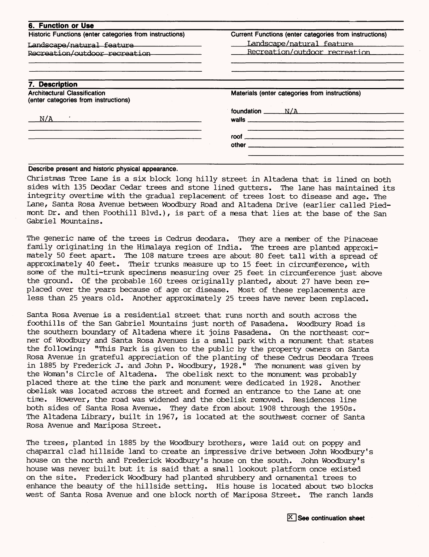| <b>6. Function or Use</b>                                                   |                                                                                                                                                                                                                               |
|-----------------------------------------------------------------------------|-------------------------------------------------------------------------------------------------------------------------------------------------------------------------------------------------------------------------------|
| Historic Functions (enter categories from instructions)                     | Current Functions (enter categories from instructions)                                                                                                                                                                        |
| Landscape/natural_feature__________________                                 | Landscape/natural feature                                                                                                                                                                                                     |
| Recreation/outdoor recreation                                               | Recreation/outdoor recreation                                                                                                                                                                                                 |
|                                                                             |                                                                                                                                                                                                                               |
| 7. Description                                                              |                                                                                                                                                                                                                               |
| <b>Architectural Classification</b><br>(enter categories from instructions) | Materials (enter categories from instructions)                                                                                                                                                                                |
|                                                                             |                                                                                                                                                                                                                               |
| N/A                                                                         | walls and the contract of the contract of the contract of the contract of the contract of the contract of the contract of the contract of the contract of the contract of the contract of the contract of the contract of the |
|                                                                             |                                                                                                                                                                                                                               |
|                                                                             | other and the contract of the contract of the contract of the contract of the contract of the contract of the                                                                                                                 |

#### **Describe present and historic physical appearance.**

Christinas Tree Lane is a six block long hilly street in Altadena that is lined on both sides with 135 Deodar Cedar trees and stone lined gutters. The lane has maintained its integrity overtime with the gradual replacement of trees lost to disease and age. The Lane, Santa Rosa Avenue between Woodbury Road and Altadena Drive (earlier called Piedmont Dr. and then Foothill Blvd.), is part of a mesa that lies at the base of the San Gabriel Mountains.

The generic name of the trees is Cedrus deodara. They are a member of the Pinaceae family originating in the Himalaya region of India. The trees are planted approximately 50 feet apart. The 108 mature trees are about 80 feet tall with a spread of approximately 40 feet. Their trunks measure up to 15 feet in circumference, with some of the multi-trunk specimens measuring over 25 feet in circumference just above the ground. Of the probable 160 trees originally planted, about 27 have been replaced over the years because of age or disease. Most of these replacements are less than 25 years old. Another approximately 25 trees have never been replaced.

Santa Rosa Avenue is a residential street that runs north and south across the foothills of the San Gabriel Mountains just north of Pasadena. Woodbury Road is the southern boundary of Altadena where it joins Pasadena. On the northeast corner of Woodbury and Santa Rosa Avenues is a small park with a monument that states the following: "This Park is given to the public by the property owners on Santa Rosa Avenue in grateful appreciation of the planting of these Cedrus Deodara Trees in 1885 by Frederick J. and John P. Woodbury, 1928." The monument was given by the Woman's Circle of Altadena. The obelisk next to the monument was probably placed there at the time the park and monument were dedicated in 1928. Another obelisk was located across the street and formed an entrance to the Lane at one time. However, the road was widened and the obelisk removed. Residences line both sides of Santa Rosa Avenue. They date from about 1908 through the 1950s. The Altadena Library, built in 1967, is located at the southwest corner of Santa Rosa Avenue and Mariposa Street.

The trees, planted in 1885 by the Woodbury brothers, were laid out on poppy and chaparral clad hillside land to create an impressive drive between John Woodbury's house on the north and Frederick Woodbury's house on the south. John Woodbury's house was never built but it is said that a small lookout platform once existed on the site. Frederick Woodbury had planted shrubbery and ornamental trees to enhance the beauty of the hillside setting. His house is located about two blocks west of Santa Rosa Avenue and one block north of Mariposa Street. The ranch lands

 $\overline{X}$  See continuation sheet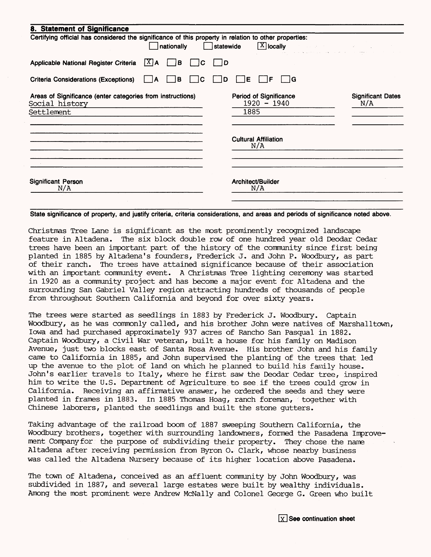| 8. Statement of Significance                                                                                        |                                                               |                                 |
|---------------------------------------------------------------------------------------------------------------------|---------------------------------------------------------------|---------------------------------|
| Certifying official has considered the significance of this property in relation to other properties:<br>nationally | $\boxed{\text{X}}$ locally<br>statewide<br>the samples of the |                                 |
| $ X $ A<br>Applicable National Register Criteria<br>B                                                               | 1D                                                            |                                 |
| <b>Criteria Considerations (Exceptions)</b><br>в<br>С<br>А                                                          | ١G<br>Е<br>F<br>D                                             |                                 |
| Areas of Significance (enter categories from instructions)<br>Social history<br>Settlement                          | Period of Significance<br>$1920 - 1940$<br>1885               | <b>Significant Dates</b><br>N/A |
|                                                                                                                     | <b>Cultural Affiliation</b><br>N/A                            |                                 |
| <b>Significant Person</b><br>N/A                                                                                    | Architect/Builder<br>N/A                                      |                                 |

**State significance of property, and justify criteria, criteria considerations, and areas and periods of significance noted above.**

Christmas Tree Lane is significant as the most prominently recognized landscape feature in Altadena. The six block double row of one hundred year old Deodar Cedar trees have been an important part of the history of the community since first being planted in 1885 by Altadena's founders, Frederick J. and John P. Woodbury, as part of their ranch. The trees have attained significance because of their association with an important community event. A Christmas Tree lighting ceremony was started in 1920 as a community project and has become a major event for Altadena and the surrounding San Gabriel Valley region attracting hundreds of thousands of people from throughout Southern California and beyond for over sixty years.

The trees were started as seedlings in 1883 by Frederick J. Woodbury. Captain Woodbury, as he was commonly called, and his brother John were natives of Marshalltown, Iowa and had purchased approximately 937 acres of Rancho San Pasqual in 1882. Captain Woodbury, a Civil War veteran, built a house for his family on Madison Avenue, just two blocks east of Santa Rosa Avenue. His brother John and his family came to California in 1885, and John supervised the planting of the trees that led up the avenue to the plot of land on which he planned to build his family house. John's earlier travels to Italy, where he first saw the Deodar Cedar tree, inspired him to write the U.S. Department of Agriculture to see if the trees could grow in California. Receiving an affirmative answer, he ordered the seeds and they were planted in frames in 1883. In 1885 Thomas Hoag, ranch foreman, together with Chinese laborers, planted the seedlings and built the stone gutters.

Taking advantage of the railroad boom of 1887 sweeping Southern California, the Woodbury brothers, together with surrounding landowners, formed the Pasadena Improvement Company for the purpose of subdividing their property. They chose the name Altadena after receiving permission from Byron 0. Clark, whose nearby business was called the Altadena Nursery because of its higher location above Pasadena.

The town of Altadena, conceived as an affluent community by John Woodbury, was subdivided in 1887, and several large estates were built by wealthy individuals. Among the most prominent were Andrew McNally and Colonel George G. Green who built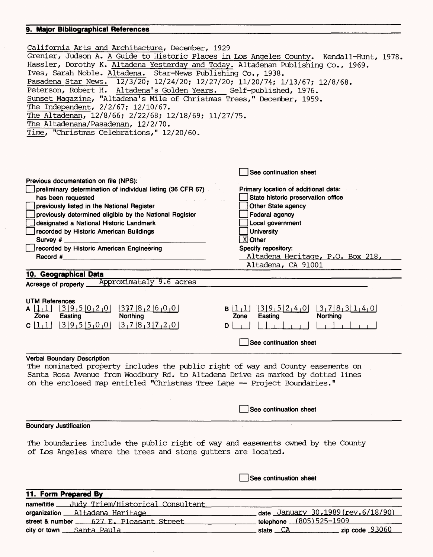#### **9. Major Bibliographical References**

| California Arts and Architecture, December, 1929<br>Grenier, Judson A. A Guide to Historic Places in Los Angeles County. Kendall-Hunt, 1978.<br>Hassler, Dorothy K. Altadena Yesterday and Today. Altadenan Publishing Co., 1969.<br>Ives, Sarah Noble. Altadena. Star-News Publishing Co., 1938.<br>Pasadena Star News. 12/3/20; 12/24/20; 12/27/20; 11/20/74; 1/13/67; 12/8/68.<br>Peterson, Robert H. Altadena's Golden Years. Self-published, 1976.<br>Sunset Magazine, "Altadena's Mile of Christmas Trees," December, 1959.<br>The Independent, 2/2/67; 12/10/67.<br>The Altadenan, 12/8/66; 2/22/68; 12/18/69; 11/27/75.<br>The Altadenana/Pasadenan, 12/2/70.<br>Time, "Christmas Celebrations," 12/20/60. |                                                                                                               |  |
|--------------------------------------------------------------------------------------------------------------------------------------------------------------------------------------------------------------------------------------------------------------------------------------------------------------------------------------------------------------------------------------------------------------------------------------------------------------------------------------------------------------------------------------------------------------------------------------------------------------------------------------------------------------------------------------------------------------------|---------------------------------------------------------------------------------------------------------------|--|
|                                                                                                                                                                                                                                                                                                                                                                                                                                                                                                                                                                                                                                                                                                                    |                                                                                                               |  |
|                                                                                                                                                                                                                                                                                                                                                                                                                                                                                                                                                                                                                                                                                                                    | See continuation sheet                                                                                        |  |
| Previous documentation on file (NPS):<br>preliminary determination of individual listing (36 CFR 67)                                                                                                                                                                                                                                                                                                                                                                                                                                                                                                                                                                                                               | Primary location of additional data:                                                                          |  |
| has been requested                                                                                                                                                                                                                                                                                                                                                                                                                                                                                                                                                                                                                                                                                                 | State historic preservation office                                                                            |  |
| previously listed in the National Register                                                                                                                                                                                                                                                                                                                                                                                                                                                                                                                                                                                                                                                                         | Other State agency                                                                                            |  |
| previously determined eligible by the National Register                                                                                                                                                                                                                                                                                                                                                                                                                                                                                                                                                                                                                                                            | Federal agency                                                                                                |  |
| designated a National Historic Landmark                                                                                                                                                                                                                                                                                                                                                                                                                                                                                                                                                                                                                                                                            | Local government                                                                                              |  |
| recorded by Historic American Buildings                                                                                                                                                                                                                                                                                                                                                                                                                                                                                                                                                                                                                                                                            | <b>University</b>                                                                                             |  |
| Survey #                                                                                                                                                                                                                                                                                                                                                                                                                                                                                                                                                                                                                                                                                                           | $\overline{X}$ Other                                                                                          |  |
| recorded by Historic American Engineering                                                                                                                                                                                                                                                                                                                                                                                                                                                                                                                                                                                                                                                                          | Specify repository:                                                                                           |  |
| Record #                                                                                                                                                                                                                                                                                                                                                                                                                                                                                                                                                                                                                                                                                                           | Altadena Heritage, P.O. Box 218,                                                                              |  |
|                                                                                                                                                                                                                                                                                                                                                                                                                                                                                                                                                                                                                                                                                                                    | Altadena, CA 91001                                                                                            |  |
| 10. Geographicai Data                                                                                                                                                                                                                                                                                                                                                                                                                                                                                                                                                                                                                                                                                              |                                                                                                               |  |
| Acreage of property Approximately 9.6 acres                                                                                                                                                                                                                                                                                                                                                                                                                                                                                                                                                                                                                                                                        |                                                                                                               |  |
| <b>UTM References</b><br>$[3 9,5 0,2,0]$ $[337 8,2 6,0,0]$<br>A $\lfloor \frac{1}{2} \rfloor$<br>Easting<br>Northing<br>Zone<br>C[1,1] [3]9,5[5,0,0] [3,7]8,3[7,2,0]<br>D                                                                                                                                                                                                                                                                                                                                                                                                                                                                                                                                          | 3 9,5 2,4,0 <br> 3, 7 8, 3 1, 4, 0 <br>B 1,1 <br><b>Northing</b><br>Easting<br>Zone<br>See continuation sheet |  |
| <b>Verbal Boundary Description</b>                                                                                                                                                                                                                                                                                                                                                                                                                                                                                                                                                                                                                                                                                 |                                                                                                               |  |
| The nominated property includes the public right of way and County easements on<br>Santa Rosa Avenue from Woodbury Rd. to Altadena Drive as marked by dotted lines<br>on the enclosed map entitled "Christmas Tree Lane -- Project Boundaries."                                                                                                                                                                                                                                                                                                                                                                                                                                                                    |                                                                                                               |  |
|                                                                                                                                                                                                                                                                                                                                                                                                                                                                                                                                                                                                                                                                                                                    | See continuation sheet                                                                                        |  |
| <b>Boundary Justification</b>                                                                                                                                                                                                                                                                                                                                                                                                                                                                                                                                                                                                                                                                                      |                                                                                                               |  |
|                                                                                                                                                                                                                                                                                                                                                                                                                                                                                                                                                                                                                                                                                                                    |                                                                                                               |  |
| The boundaries include the public right of way and easements owned by the County<br>of Los Angeles where the trees and stone gutters are located.                                                                                                                                                                                                                                                                                                                                                                                                                                                                                                                                                                  |                                                                                                               |  |
|                                                                                                                                                                                                                                                                                                                                                                                                                                                                                                                                                                                                                                                                                                                    | See continuation sheet                                                                                        |  |
| 11. Form Prepared By                                                                                                                                                                                                                                                                                                                                                                                                                                                                                                                                                                                                                                                                                               |                                                                                                               |  |
| name/title ____ Judy Triem/Historical Consultant                                                                                                                                                                                                                                                                                                                                                                                                                                                                                                                                                                                                                                                                   |                                                                                                               |  |
| organization Altadena Heritage                                                                                                                                                                                                                                                                                                                                                                                                                                                                                                                                                                                                                                                                                     | date January 30, 1989 (rev. 6/18/90)                                                                          |  |
| street & number 627 E. Pleasant Street                                                                                                                                                                                                                                                                                                                                                                                                                                                                                                                                                                                                                                                                             | telephone (805) 525-1909                                                                                      |  |
| city or town <u>Santa Paula</u>                                                                                                                                                                                                                                                                                                                                                                                                                                                                                                                                                                                                                                                                                    | zip code $93060$<br>state CA                                                                                  |  |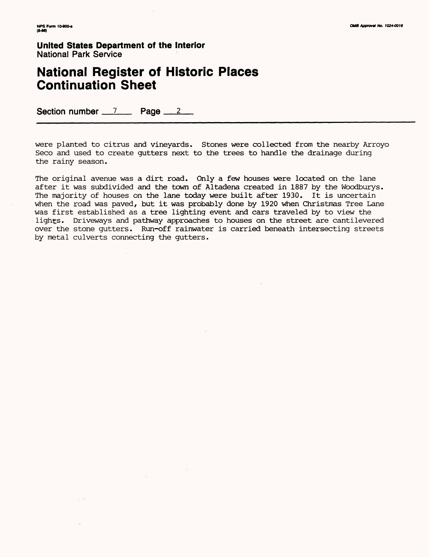### **National Register of Historic Places Continuation Sheet**

Section number 7 Page 2

were planted to citrus and vineyards. Stones were collected from the nearby Arroyo Seco and used to create gutters next to the trees to handle the drainage during the rainy season.

The original avenue was a dirt road. Only a few houses were located on the lane after it was subdivided and the town of Altadena created in 1887 by the Woodburys. The majority of houses on the lane today were built after 1930. It is uncertain when the road was paved, but it was probably done by 1920 when Christmas Tree Lane was first established as a tree lighting event and cars traveled by to view the lights. Driveways and pathway approaches to houses on the street are cantilevered over the stone gutters. Run-off rainwater is carried beneath intersecting streets by metal culverts connecting the gutters.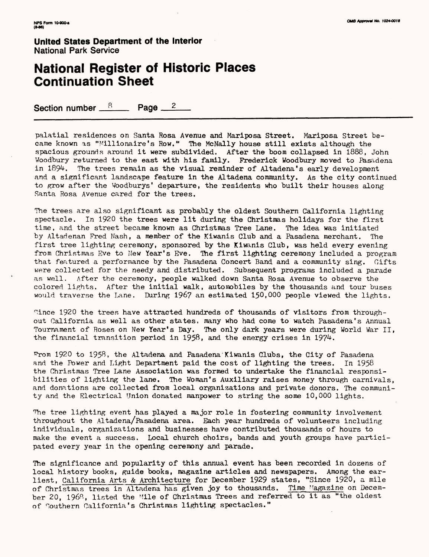#### **National Register of Historic Places Continuation Sheet**

Section number  $8 \text{ Paqe} 2$ 

palatial residences on Santa Rosa Avenue and Mariposa Street. Mariposa Street became known as "Millionaire's Row." The McNally house still exists although the spacious grounds around it were subdivided. After the boom collapsed in 1888, John Woodbury returned to the east with his family. Frederick Woodbury moved to Pasadena in 1894. The trees remain as the visual reminder of Altadena's early development and a significant landscape feature in the Altadena community. As the city continued to grow after the Woodburys' departure, the residents who built their houses along Santa Rosa Avenue cared for the trees.

The trees are also significant as probably the oldest Southern California lighting spectacle. In 1920 the trees were lit during the Christmas holidays for the first time, and the street became known as Christmas Tree Lane. The idea was initiated by Altadenan Fred Nash, a member of the Kiwanis Club and a Pasadena merchant. The first tree lighting ceremony, sponsored by the Kiwanis Club, was held every evening from Christmas Eve to New Year's Eve. The first lighting ceremony included a program that featured a performance by the Pasadena Concert Band and a community sing. Gifts were collected for the needy and distributed. Subsequent programs included a parade as well. After the ceremony, people walked down Santa Rosa Avenue to observe the colored lights. After the initial walk, automobiles by the thousands and tour buses would traverse the Lane. During 196? an estimated 150,000 people viewed the lights.

°,ince 192Q the trees have attracted hundreds of thousands of visitors from throughout California as well as other states, many who had come to watch Pasadena's Annual Tournament of Roses on New Year's Day. The only dark years were during World War II, the financial transition period in 1958, and the energy crises in 1974.

From 1920 to 1958, the Altadena and Pasadena Kiwanis Clubs, the City of Pasadena and the Power and Light Department paid the cost of lighting the trees. In 1958 the Christmas Tree Lane Association was formed to undertake the financial responsibilities of lighting the lane. The Woman's Auxiliary raises money through carnivals, and donations are collected from local organizations and private donors. The community and the Electrical Union donated manpower to string the some 10,000 lights.

The tree lighting event has played a major role in fostering community involvement throughout the Altadena/Pasadena area. Each year hundreds of volunteers including individuals, organizations and businesses have contributed thousands of hours to make the event a success. Local church choirs, bands and youth groups have participated every year in the opening ceremony and parade.

The significance and popularity of this annual event has been recorded in dozens of local history books, guide books, magazine articles and newspapers. Among the earliest, California Arts & Architecture for December 1929 states, "Since 1920, a mile of Christmas trees in Altadena has given joy to thousands. Time Magazine on December 20, 1968, listed the Mile of Christmas Trees and referred to it as "the oldest of Southern California's Christmas lighting spectacles."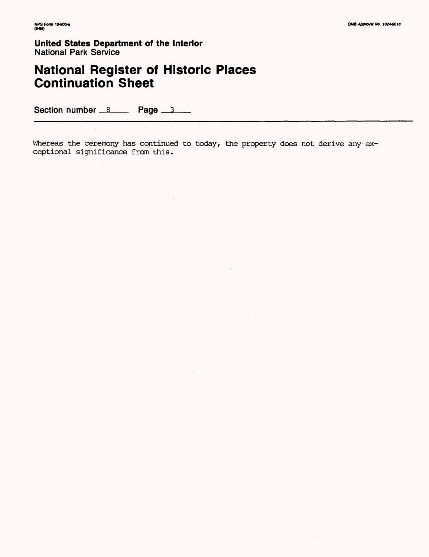## **National Register of Historic Places Continuation Sheet**

Section number 8 Page 3

Whereas the ceremony has continued to today, the property does not derive any exceptional significance from this.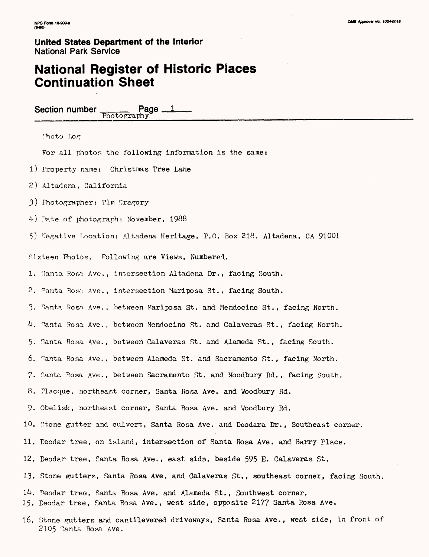### **National Register of Historic Places Continuation Sheet**

Section number  $\frac{\text{Page} - 1}{\text{Photorraphy}}$ 

Moto Log

For all photos the following information is the same:

1) Property name: Christmas Tree Lane

2) Altadena, California

3) Photographer: Tim Gregory

4) Pate of photograph: November, 1988

5) Negative Location: Altadena Heritage, P.O. Box 218, Altadena, CA 91001

Sixteen Photos. Following are Views, Numbered.

1. Santa. Rosa Ave., intersection Altadena Dr., facing South.

2. Santa Rosa. Ave., intersection Mariposa St., facing South.

3. Santa Rosa Ave., between Mariposa St. and Mendocino St., facing North.

4. Santa. Rosa Ave., between Mendocino St. and Calaveras St., facing North.

5. Santa Rosa Ave. , between Calaveras St. and Alameda St. , facing South.

6. Santa Rosa Ave. , between Alameda St. and Sacramento St. , facing North.

7. Santa Rosa Ave., between Sacramento St. and Woodbury Rd. , facing South.

8. Placque, northeast corner, Santa Rosa Ave. and Woodbury Rd.

9. Obelisk, northeast corner, Santa Rosa Ave. and Woodbury Rd.

10. Stone gutter and culvert, Santa Rosa Ave. and Deodara Dr. , Southeast corner.

11. Deodar tree, on island, intersection of Santa Rosa Ave. and Barry Place.

12. Deodar tree, Santa Rosa Ave., east sida, beside 595 E, Calaveras St.

13. Stone gutters, Santa Rosa Ave. and Calaveras St., southeast corner, facing South.

 $14.$  Deodar tree, Santa Rosa Ave. and Alameda St., Southwest corner. 15. Deodar tree, Santa Rosa Ave., west side, opposite 217? Santa Rosa Ave.

16. Stone gutters and cantilevered driveways, Santa Rosa Ave., west side, in front of 2105 Santa Rosa Ave.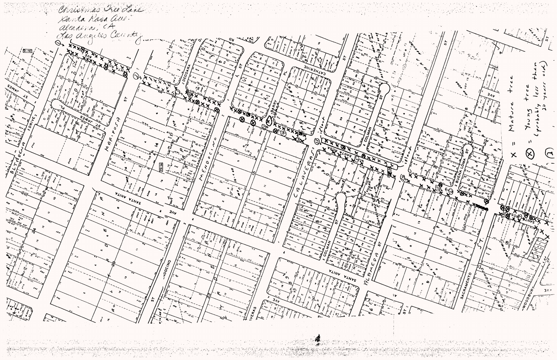

2014년 1210년 원<br>기

R.

 $\widehat{(\mathbf{a})}$  $\bm{\times}$  $3<sup>7</sup>$